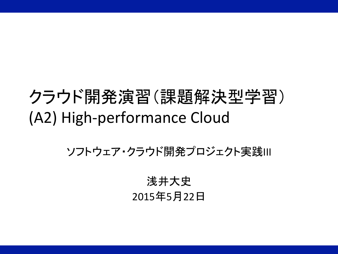# クラウド開発演習(課題解決型学習) (A2) High-performance Cloud

ソフトウェア・クラウド開発プロジェクト実践III 

浅井大史 2015年5月22日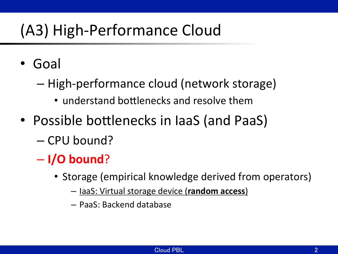## (A3) High-Performance Cloud

- Goal
	- High-performance cloud (network storage)
		- understand bottlenecks and resolve them
- Possible bottlenecks in laaS (and PaaS)
	- CPU bound?
	- **I/O bound**?
		- Storage (empirical knowledge derived from operators)
			- IaaS: Virtual storage device (**random access**)
			- PaaS: Backend database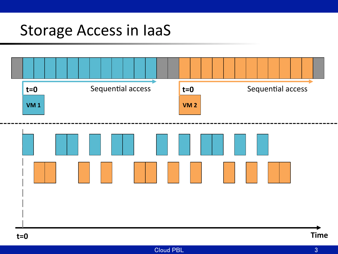## Storage Access in laaS

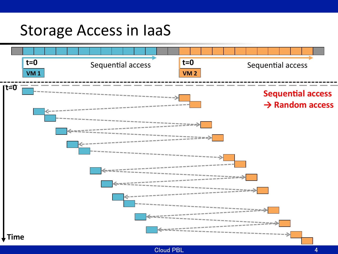#### Storage Access in laaS

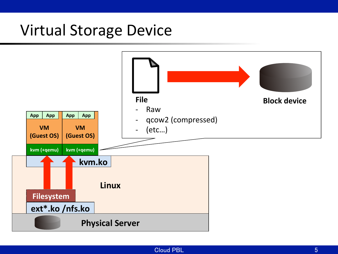#### **Virtual Storage Device**

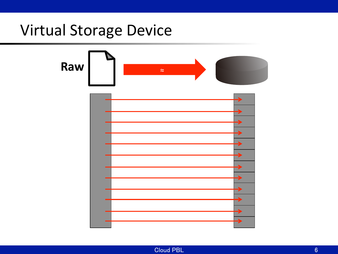#### **Virtual Storage Device**



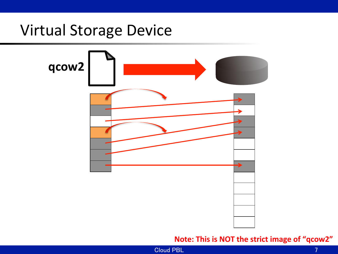#### **Virtual Storage Device**



#### **Note: This is NOT the strict image of "qcow2"**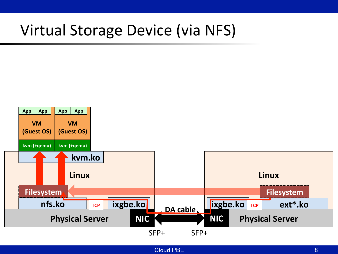### Virtual Storage Device (via NFS)

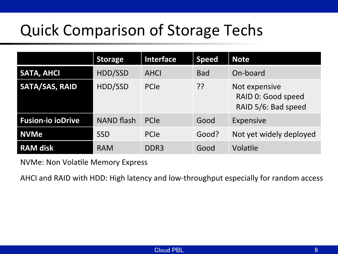## Quick Comparison of Storage Techs

|                          | <b>Storage</b>    | Interface        | <b>Speed</b> | <b>Note</b>                                                |
|--------------------------|-------------------|------------------|--------------|------------------------------------------------------------|
| <b>SATA, AHCI</b>        | HDD/SSD           | AHCI             | <b>Bad</b>   | On-board                                                   |
| <b>SATA/SAS, RAID</b>    | HDD/SSD           | PCIe             | ??           | Not expensive<br>RAID 0: Good speed<br>RAID 5/6: Bad speed |
| <b>Fusion-io ioDrive</b> | <b>NAND flash</b> | PCIe             | Good         | Expensive                                                  |
| <b>NVMe</b>              | <b>SSD</b>        | PCIe             | Good?        | Not yet widely deployed                                    |
| <b>RAM disk</b>          | <b>RAM</b>        | DDR <sub>3</sub> | Good         | Volatile                                                   |

NVMe: Non Volatile Memory Express

AHCI and RAID with HDD: High latency and low-throughput especially for random access

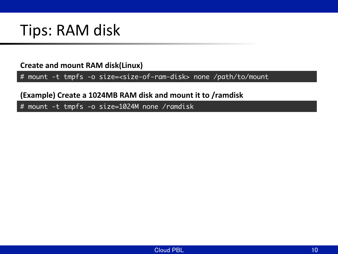### Tips: RAM disk

**Create and mount RAM disk(Linux)** 

# mount -t tmpfs -o size=<size-of-ram-disk> none /path/to/mount

**(Example) Create a 1024MB RAM disk and mount it to /ramdisk** 

# mount -t tmpfs -o size=1024M none /ramdisk

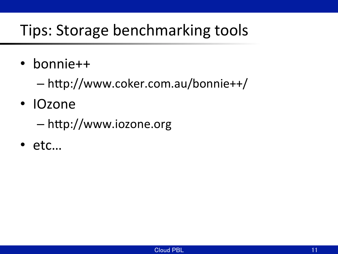## Tips: Storage benchmarking tools

- bonnie++
	- $-\hbar \text{ttp:}/\hbar$ www.coker.com.au/bonnie++/
- IOzone
	- $-\hbar$ ttp://www.iozone.org
- etc…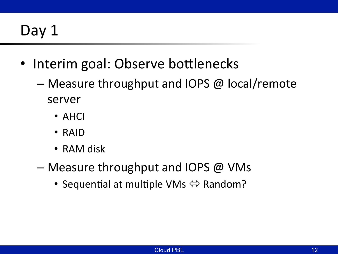## Day 1

- Interim goal: Observe bottlenecks
	- Measure throughput and IOPS  $\omega$  local/remote server
		- AHCI
		- RAID
		- RAM disk
	- Measure throughput and IOPS  $@$  VMs
		- Sequential at multiple VMs  $\Leftrightarrow$  Random?

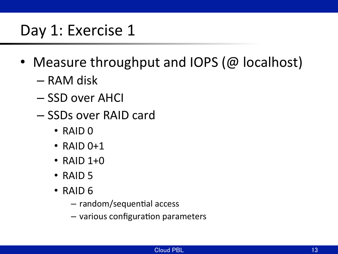#### Day 1: Exercise 1

- Measure throughput and IOPS ( $@$  localhost)
	- RAM disk
	- SSD over AHCI
	- SSDs over RAID card
		- $\cdot$  RAID  $\theta$
		- $\cdot$  RAID 0+1
		- $\cdot$  RAID 1+0
		- $\cdot$  RAID 5
		- $\cdot$  RAID 6
			- $-$  random/sequential access
			- $-$  various configuration parameters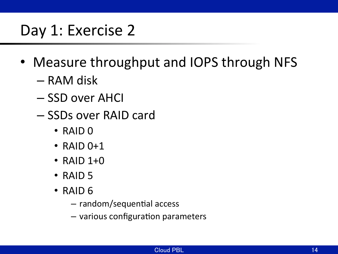### Day 1: Exercise 2

- Measure throughput and IOPS through NFS
	- RAM disk
	- SSD over AHCI
	- SSDs over RAID card
		- $\cdot$  RAID  $\theta$
		- $\cdot$  RAID 0+1
		- $\cdot$  RAID 1+0
		- $\cdot$  RAID 5
		- $\cdot$  RAID 6
			- $-$  random/sequential access
			- $-$  various configuration parameters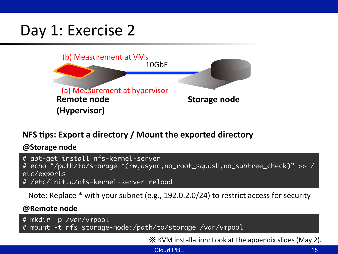### Day 1: Exercise 2



#### **NFS tips: Export a directory / Mount the exported directory**

**@Storage node** 

# apt-get install nfs-kernel-server # echo "/path/to/storage \*(rw,async,no\_root\_squash,no\_subtree\_check)" >> / etc/exports # /etc/init.d/nfs-kernel-server reload

Note: Replace  $*$  with your subnet (e.g., 192.0.2.0/24) to restrict access for security

#### **@Remote** node

# mkdir -p /var/vmpool

# mount -t nfs storage-node:/path/to/storage /var/vmpool

 $\mathbb X$  KVM installation: Look at the appendix slides (May 2).

Cloud PBL 2008 15 AM 2009 15 AM 2009 15